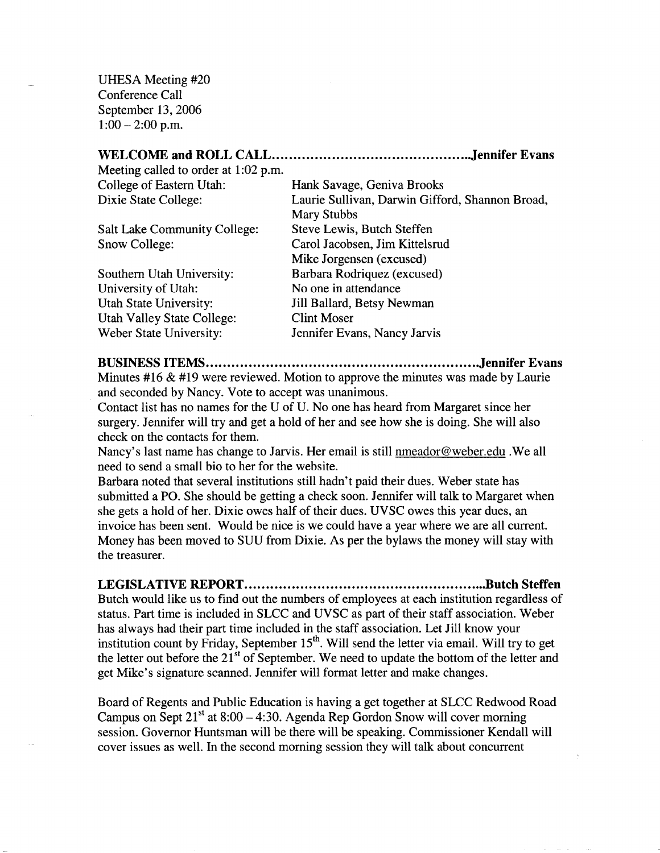UHESA Meeting #20 Conference Call September 13, 2006  $1:00-2:00$  p.m.

| Meeting called to order at 1:02 p.m. |                                                 |
|--------------------------------------|-------------------------------------------------|
| College of Eastern Utah:             | Hank Savage, Geniva Brooks                      |
| Dixie State College:                 | Laurie Sullivan, Darwin Gifford, Shannon Broad, |
|                                      | <b>Mary Stubbs</b>                              |
| <b>Salt Lake Community College:</b>  | Steve Lewis, Butch Steffen                      |
| Snow College:                        | Carol Jacobsen, Jim Kittelsrud                  |
|                                      | Mike Jorgensen (excused)                        |
| Southern Utah University:            | Barbara Rodriquez (excused)                     |
| University of Utah:                  | No one in attendance                            |
| Utah State University:               | Jill Ballard, Betsy Newman                      |
| <b>Utah Valley State College:</b>    | <b>Clint Moser</b>                              |
| Weber State University:              | Jennifer Evans, Nancy Jarvis                    |

**BUSINESS ITEMS Jennifer Evans**

Minutes  $#16 \& #19$  were reviewed. Motion to approve the minutes was made by Laurie and seconded by Nancy. Vote to accept was unanimous.

Contact list has no names for the U of U. No one has heard from Margaret since her surgery. Jennifer will try and get a hold of her and see how she is doing. She will also check on the contacts for them.

Nancy's last name has change to Jarvis. Her email is still nmeador@weber.edu .We all need to send a small bio to her for the website.

Barbara noted that several institutions still hadn't paid their dues. Weber state has submitted a PO. She should be getting a check soon. Jennifer will talk to Margaret when she gets a hold of her. Dixie owes half of their dues. UVSC owes this year dues, an invoice has been sent. Would be nice is we could have a year where we are all current. Money has been moved to SUU from Dixie. As per the bylaws the money will stay with the treasurer.

**LEGISLATIVE REPORT Butch Steffen** Butch would like us to find out the numbers of employees at each institution regardless of status. Part time is included in SLCC and UVSC as part of their staff association. Weber has always had their part time included in the staff association. Let Jill know your institution count by Friday, September  $15<sup>th</sup>$ . Will send the letter via email. Will try to get the letter out before the  $21<sup>st</sup>$  of September. We need to update the bottom of the letter and get Mike's signature scanned. Jennifer will format letter and make changes.

Board of Regents and Public Education is having a get together at SLCC Redwood Road Campus on Sept  $21<sup>st</sup>$  at 8:00 – 4:30. Agenda Rep Gordon Snow will cover morning session. Governor Huntsman will be there will be speaking. Commissioner Kendall will cover issues as well. In the second morning session they will talk about concurrent